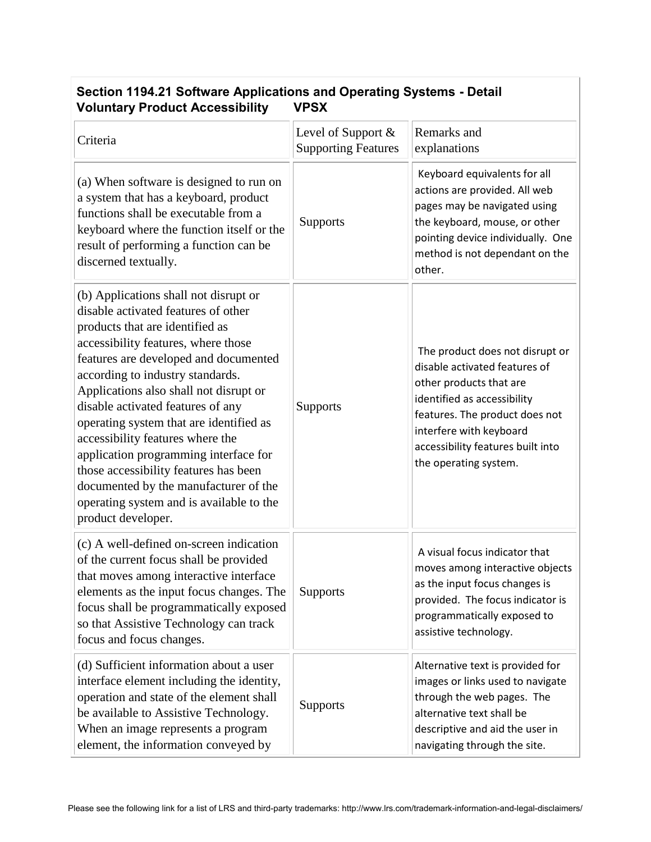| Occupii TIV-LET Obitware Applications and Operating Oystems - Detail<br><b>Voluntary Product Accessibility</b><br><b>VPSX</b>                                                                                                                                                                                                                                                                                                                                                                                                                                                                  |                                                  |                                                                                                                                                                                                                                                       |  |
|------------------------------------------------------------------------------------------------------------------------------------------------------------------------------------------------------------------------------------------------------------------------------------------------------------------------------------------------------------------------------------------------------------------------------------------------------------------------------------------------------------------------------------------------------------------------------------------------|--------------------------------------------------|-------------------------------------------------------------------------------------------------------------------------------------------------------------------------------------------------------------------------------------------------------|--|
| Criteria                                                                                                                                                                                                                                                                                                                                                                                                                                                                                                                                                                                       | Level of Support &<br><b>Supporting Features</b> | Remarks and<br>explanations                                                                                                                                                                                                                           |  |
| (a) When software is designed to run on<br>a system that has a keyboard, product<br>functions shall be executable from a<br>keyboard where the function itself or the<br>result of performing a function can be<br>discerned textually.                                                                                                                                                                                                                                                                                                                                                        | <b>Supports</b>                                  | Keyboard equivalents for all<br>actions are provided. All web<br>pages may be navigated using<br>the keyboard, mouse, or other<br>pointing device individually. One<br>method is not dependant on the<br>other.                                       |  |
| (b) Applications shall not disrupt or<br>disable activated features of other<br>products that are identified as<br>accessibility features, where those<br>features are developed and documented<br>according to industry standards.<br>Applications also shall not disrupt or<br>disable activated features of any<br>operating system that are identified as<br>accessibility features where the<br>application programming interface for<br>those accessibility features has been<br>documented by the manufacturer of the<br>operating system and is available to the<br>product developer. | Supports                                         | The product does not disrupt or<br>disable activated features of<br>other products that are<br>identified as accessibility<br>features. The product does not<br>interfere with keyboard<br>accessibility features built into<br>the operating system. |  |
| (c) A well-defined on-screen indication<br>of the current focus shall be provided<br>that moves among interactive interface<br>elements as the input focus changes. The<br>focus shall be programmatically exposed<br>so that Assistive Technology can track<br>focus and focus changes.                                                                                                                                                                                                                                                                                                       | <b>Supports</b>                                  | A visual focus indicator that<br>moves among interactive objects<br>as the input focus changes is<br>provided. The focus indicator is<br>programmatically exposed to<br>assistive technology.                                                         |  |
| (d) Sufficient information about a user<br>interface element including the identity,<br>operation and state of the element shall<br>be available to Assistive Technology.<br>When an image represents a program<br>element, the information conveyed by                                                                                                                                                                                                                                                                                                                                        | <b>Supports</b>                                  | Alternative text is provided for<br>images or links used to navigate<br>through the web pages. The<br>alternative text shall be<br>descriptive and aid the user in<br>navigating through the site.                                                    |  |

## **Section 1194.21 Software Applications and Operating Systems - Detail**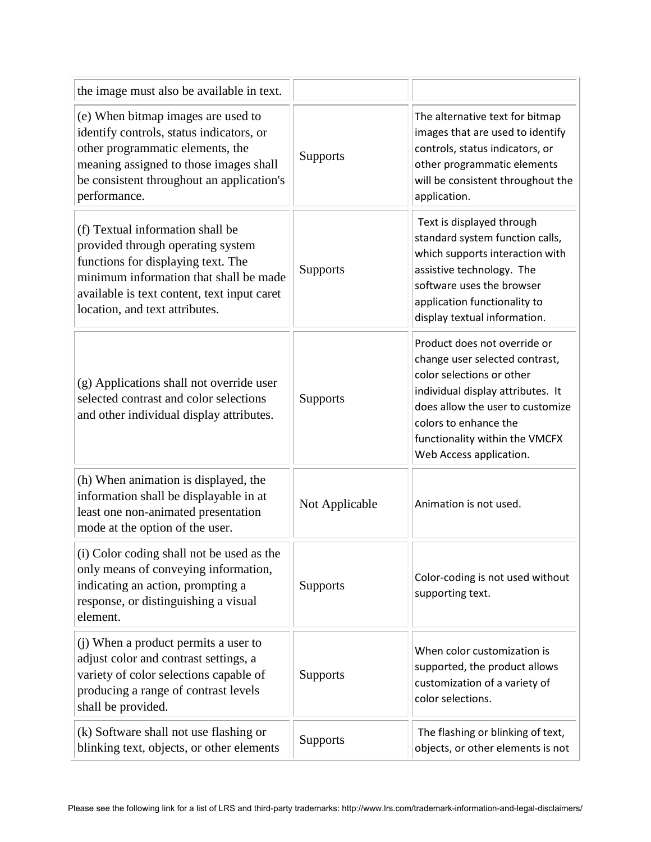| the image must also be available in text.                                                                                                                                                                                              |                 |                                                                                                                                                                                                                                                            |
|----------------------------------------------------------------------------------------------------------------------------------------------------------------------------------------------------------------------------------------|-----------------|------------------------------------------------------------------------------------------------------------------------------------------------------------------------------------------------------------------------------------------------------------|
| (e) When bitmap images are used to<br>identify controls, status indicators, or<br>other programmatic elements, the<br>meaning assigned to those images shall<br>be consistent throughout an application's<br>performance.              | <b>Supports</b> | The alternative text for bitmap<br>images that are used to identify<br>controls, status indicators, or<br>other programmatic elements<br>will be consistent throughout the<br>application.                                                                 |
| (f) Textual information shall be<br>provided through operating system<br>functions for displaying text. The<br>minimum information that shall be made<br>available is text content, text input caret<br>location, and text attributes. | Supports        | Text is displayed through<br>standard system function calls,<br>which supports interaction with<br>assistive technology. The<br>software uses the browser<br>application functionality to<br>display textual information.                                  |
| (g) Applications shall not override user<br>selected contrast and color selections<br>and other individual display attributes.                                                                                                         | <b>Supports</b> | Product does not override or<br>change user selected contrast,<br>color selections or other<br>individual display attributes. It<br>does allow the user to customize<br>colors to enhance the<br>functionality within the VMCFX<br>Web Access application. |
| (h) When animation is displayed, the<br>information shall be displayable in at<br>least one non-animated presentation<br>mode at the option of the user.                                                                               | Not Applicable  | Animation is not used.                                                                                                                                                                                                                                     |
| (i) Color coding shall not be used as the<br>only means of conveying information,<br>indicating an action, prompting a<br>response, or distinguishing a visual<br>element.                                                             | <b>Supports</b> | Color-coding is not used without<br>supporting text.                                                                                                                                                                                                       |
| (j) When a product permits a user to<br>adjust color and contrast settings, a<br>variety of color selections capable of<br>producing a range of contrast levels<br>shall be provided.                                                  | Supports        | When color customization is<br>supported, the product allows<br>customization of a variety of<br>color selections.                                                                                                                                         |
| (k) Software shall not use flashing or<br>blinking text, objects, or other elements                                                                                                                                                    | Supports        | The flashing or blinking of text,<br>objects, or other elements is not                                                                                                                                                                                     |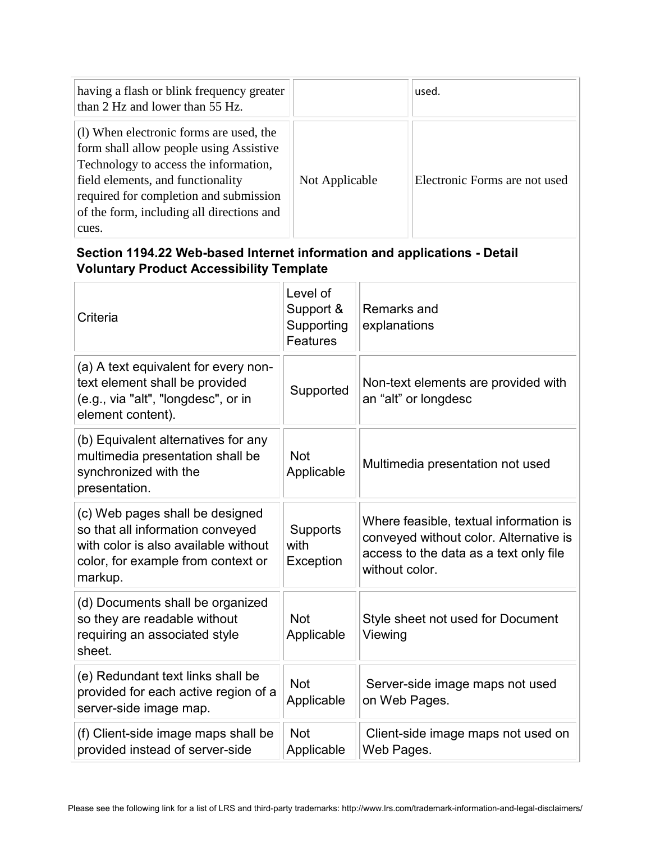| having a flash or blink frequency greater<br>than 2 Hz and lower than 55 Hz.                                                                                                                                                                                     |                | used.                         |
|------------------------------------------------------------------------------------------------------------------------------------------------------------------------------------------------------------------------------------------------------------------|----------------|-------------------------------|
| (1) When electronic forms are used, the<br>form shall allow people using Assistive<br>Technology to access the information,<br>field elements, and functionality<br>required for completion and submission<br>of the form, including all directions and<br>cues. | Not Applicable | Electronic Forms are not used |

## **Section 1194.22 Web-based Internet information and applications - Detail Voluntary Product Accessibility Template**

| Criteria                                                                                                                                                     | Level of<br>Support &<br>Supporting<br>Features | Remarks and<br>explanations                                                                                                                  |
|--------------------------------------------------------------------------------------------------------------------------------------------------------------|-------------------------------------------------|----------------------------------------------------------------------------------------------------------------------------------------------|
| (a) A text equivalent for every non-<br>text element shall be provided<br>(e.g., via "alt", "longdesc", or in<br>element content).                           | Supported                                       | Non-text elements are provided with<br>an "alt" or longdesc                                                                                  |
| (b) Equivalent alternatives for any<br>multimedia presentation shall be<br>synchronized with the<br>presentation.                                            | <b>Not</b><br>Applicable                        | Multimedia presentation not used                                                                                                             |
| (c) Web pages shall be designed<br>so that all information conveyed<br>with color is also available without<br>color, for example from context or<br>markup. | Supports<br>with<br>Exception                   | Where feasible, textual information is<br>conveyed without color. Alternative is<br>access to the data as a text only file<br>without color. |
| (d) Documents shall be organized<br>so they are readable without<br>requiring an associated style<br>sheet.                                                  | <b>Not</b><br>Applicable                        | Style sheet not used for Document<br>Viewing                                                                                                 |
| (e) Redundant text links shall be<br>provided for each active region of a<br>server-side image map.                                                          | <b>Not</b><br>Applicable                        | Server-side image maps not used<br>on Web Pages.                                                                                             |
| (f) Client-side image maps shall be<br>provided instead of server-side                                                                                       | <b>Not</b><br>Applicable                        | Client-side image maps not used on<br>Web Pages.                                                                                             |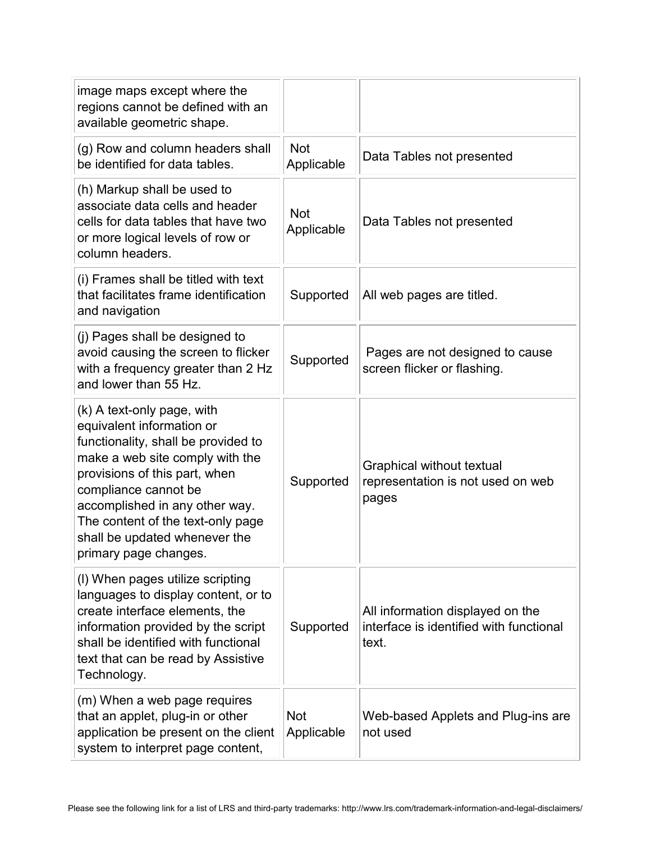| image maps except where the<br>regions cannot be defined with an<br>available geometric shape.                                                                                                                                                                                                                              |                          |                                                                                      |
|-----------------------------------------------------------------------------------------------------------------------------------------------------------------------------------------------------------------------------------------------------------------------------------------------------------------------------|--------------------------|--------------------------------------------------------------------------------------|
| (g) Row and column headers shall<br>be identified for data tables.                                                                                                                                                                                                                                                          | <b>Not</b><br>Applicable | Data Tables not presented                                                            |
| (h) Markup shall be used to<br>associate data cells and header<br>cells for data tables that have two<br>or more logical levels of row or<br>column headers.                                                                                                                                                                | <b>Not</b><br>Applicable | Data Tables not presented                                                            |
| (i) Frames shall be titled with text<br>that facilitates frame identification<br>and navigation                                                                                                                                                                                                                             | Supported                | All web pages are titled.                                                            |
| (i) Pages shall be designed to<br>avoid causing the screen to flicker<br>with a frequency greater than 2 Hz<br>and lower than 55 Hz.                                                                                                                                                                                        | Supported                | Pages are not designed to cause<br>screen flicker or flashing.                       |
| (k) A text-only page, with<br>equivalent information or<br>functionality, shall be provided to<br>make a web site comply with the<br>provisions of this part, when<br>compliance cannot be<br>accomplished in any other way.<br>The content of the text-only page<br>shall be updated whenever the<br>primary page changes. | Supported                | Graphical without textual<br>representation is not used on web<br>pages              |
| (I) When pages utilize scripting<br>languages to display content, or to<br>create interface elements, the<br>information provided by the script<br>shall be identified with functional<br>text that can be read by Assistive<br>Technology.                                                                                 | Supported                | All information displayed on the<br>interface is identified with functional<br>text. |
| (m) When a web page requires<br>that an applet, plug-in or other<br>application be present on the client<br>system to interpret page content,                                                                                                                                                                               | <b>Not</b><br>Applicable | Web-based Applets and Plug-ins are<br>not used                                       |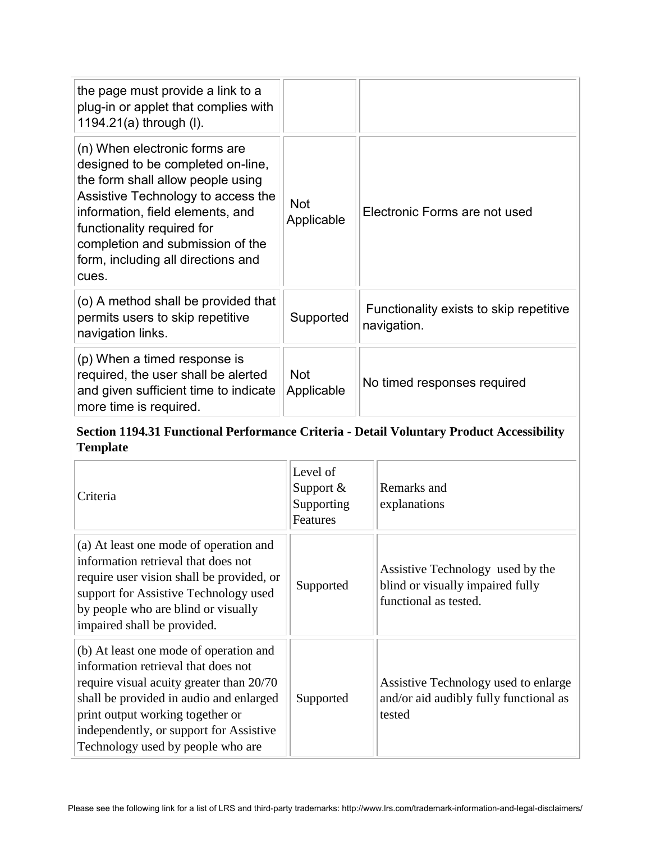| the page must provide a link to a<br>plug-in or applet that complies with<br>1194.21(a) through (I).                                                                                                                                                                                               |                          |                                                        |
|----------------------------------------------------------------------------------------------------------------------------------------------------------------------------------------------------------------------------------------------------------------------------------------------------|--------------------------|--------------------------------------------------------|
| (n) When electronic forms are<br>designed to be completed on-line,<br>the form shall allow people using<br>Assistive Technology to access the<br>information, field elements, and<br>functionality required for<br>completion and submission of the<br>form, including all directions and<br>cues. | <b>Not</b><br>Applicable | Electronic Forms are not used                          |
| (o) A method shall be provided that<br>permits users to skip repetitive<br>navigation links.                                                                                                                                                                                                       | Supported                | Functionality exists to skip repetitive<br>navigation. |
| (p) When a timed response is<br>required, the user shall be alerted<br>and given sufficient time to indicate<br>more time is required.                                                                                                                                                             | <b>Not</b><br>Applicable | No timed responses required                            |

## **Section 1194.31 Functional Performance Criteria - Detail Voluntary Product Accessibility Template**

| Criteria                                                                                                                                                                                                                                                                                 | Level of<br>Support $&$<br>Supporting<br>Features | Remarks and<br>explanations                                                                   |
|------------------------------------------------------------------------------------------------------------------------------------------------------------------------------------------------------------------------------------------------------------------------------------------|---------------------------------------------------|-----------------------------------------------------------------------------------------------|
| (a) At least one mode of operation and<br>information retrieval that does not<br>require user vision shall be provided, or<br>support for Assistive Technology used<br>by people who are blind or visually<br>impaired shall be provided.                                                | Supported                                         | Assistive Technology used by the<br>blind or visually impaired fully<br>functional as tested. |
| (b) At least one mode of operation and<br>information retrieval that does not<br>require visual acuity greater than 20/70<br>shall be provided in audio and enlarged<br>print output working together or<br>independently, or support for Assistive<br>Technology used by people who are | Supported                                         | Assistive Technology used to enlarge<br>and/or aid audibly fully functional as<br>tested      |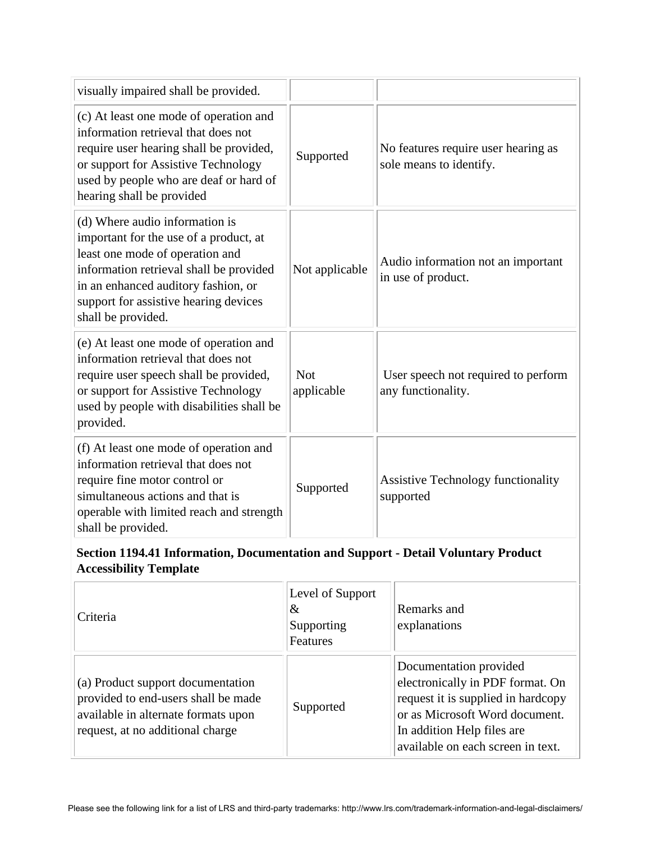| visually impaired shall be provided.                                                                                                                                                                                                                         |                          |                                                                |
|--------------------------------------------------------------------------------------------------------------------------------------------------------------------------------------------------------------------------------------------------------------|--------------------------|----------------------------------------------------------------|
| (c) At least one mode of operation and<br>information retrieval that does not<br>require user hearing shall be provided,<br>or support for Assistive Technology<br>used by people who are deaf or hard of<br>hearing shall be provided                       | Supported                | No features require user hearing as<br>sole means to identify. |
| (d) Where audio information is<br>important for the use of a product, at<br>least one mode of operation and<br>information retrieval shall be provided<br>in an enhanced auditory fashion, or<br>support for assistive hearing devices<br>shall be provided. | Not applicable           | Audio information not an important<br>in use of product.       |
| (e) At least one mode of operation and<br>information retrieval that does not<br>require user speech shall be provided,<br>or support for Assistive Technology<br>used by people with disabilities shall be<br>provided.                                     | <b>Not</b><br>applicable | User speech not required to perform<br>any functionality.      |
| (f) At least one mode of operation and<br>information retrieval that does not<br>require fine motor control or<br>simultaneous actions and that is<br>operable with limited reach and strength<br>shall be provided.                                         | Supported                | <b>Assistive Technology functionality</b><br>supported         |

## **Section 1194.41 Information, Documentation and Support - Detail Voluntary Product Accessibility Template**

| Criteria                                                                                                                                            | Level of Support<br>&<br>Supporting<br>Features | Remarks and<br>explanations                                                                                                                                                                           |
|-----------------------------------------------------------------------------------------------------------------------------------------------------|-------------------------------------------------|-------------------------------------------------------------------------------------------------------------------------------------------------------------------------------------------------------|
| (a) Product support documentation<br>provided to end-users shall be made<br>available in alternate formats upon<br>request, at no additional charge | Supported                                       | Documentation provided<br>electronically in PDF format. On<br>request it is supplied in hardcopy<br>or as Microsoft Word document.<br>In addition Help files are<br>available on each screen in text. |